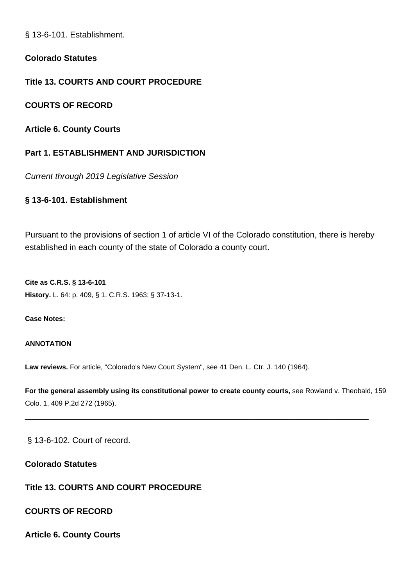§ 13-6-101. Establishment.

**Colorado Statutes**

**Title 13. COURTS AND COURT PROCEDURE**

**COURTS OF RECORD**

**Article 6. County Courts**

# **Part 1. ESTABLISHMENT AND JURISDICTION**

Current through 2019 Legislative Session

# **§ 13-6-101. Establishment**

Pursuant to the provisions of section 1 of article VI of the Colorado constitution, there is hereby established in each county of the state of Colorado a county court.

**Cite as C.R.S. § 13-6-101 History.** L. 64: p. 409, § 1. C.R.S. 1963: § 37-13-1.

**Case Notes:**

### **ANNOTATION**

**Law reviews.** For article, "Colorado's New Court System", see 41 Den. L. Ctr. J. 140 (1964).

**For the general assembly using its constitutional power to create county courts,** see Rowland v. Theobald, 159 Colo. 1, 409 P.2d 272 (1965).

\_\_\_\_\_\_\_\_\_\_\_\_\_\_\_\_\_\_\_\_\_\_\_\_\_\_\_\_\_\_\_\_\_\_\_\_\_\_\_\_\_\_\_\_\_\_\_\_\_\_\_\_\_\_\_\_\_\_\_\_\_\_\_\_\_\_\_\_\_\_\_\_\_\_

§ 13-6-102. Court of record.

**Colorado Statutes**

# **Title 13. COURTS AND COURT PROCEDURE**

**COURTS OF RECORD**

**Article 6. County Courts**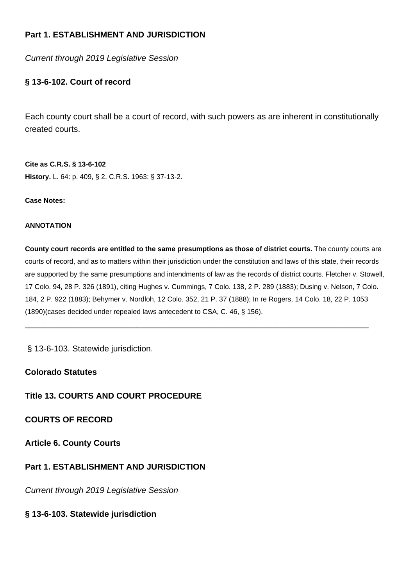# **Part 1. ESTABLISHMENT AND JURISDICTION**

Current through 2019 Legislative Session

# **§ 13-6-102. Court of record**

Each county court shall be a court of record, with such powers as are inherent in constitutionally created courts.

**Cite as C.R.S. § 13-6-102 History.** L. 64: p. 409, § 2. C.R.S. 1963: § 37-13-2.

### **Case Notes:**

### **ANNOTATION**

**County court records are entitled to the same presumptions as those of district courts.** The county courts are courts of record, and as to matters within their jurisdiction under the constitution and laws of this state, their records are supported by the same presumptions and intendments of law as the records of district courts. Fletcher v. Stowell, 17 Colo. 94, 28 P. 326 (1891), citing Hughes v. Cummings, 7 Colo. 138, 2 P. 289 (1883); Dusing v. Nelson, 7 Colo. 184, 2 P. 922 (1883); Behymer v. Nordloh, 12 Colo. 352, 21 P. 37 (1888); In re Rogers, 14 Colo. 18, 22 P. 1053 (1890)(cases decided under repealed laws antecedent to CSA, C. 46, § 156).

\_\_\_\_\_\_\_\_\_\_\_\_\_\_\_\_\_\_\_\_\_\_\_\_\_\_\_\_\_\_\_\_\_\_\_\_\_\_\_\_\_\_\_\_\_\_\_\_\_\_\_\_\_\_\_\_\_\_\_\_\_\_\_\_\_\_\_\_\_\_\_\_\_\_

§ 13-6-103. Statewide jurisdiction.

## **Colorado Statutes**

# **Title 13. COURTS AND COURT PROCEDURE**

# **COURTS OF RECORD**

**Article 6. County Courts**

# **Part 1. ESTABLISHMENT AND JURISDICTION**

Current through 2019 Legislative Session

## **§ 13-6-103. Statewide jurisdiction**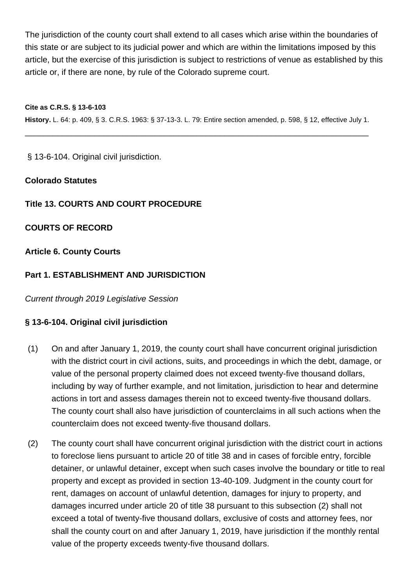The jurisdiction of the county court shall extend to all cases which arise within the boundaries of this state or are subject to its judicial power and which are within the limitations imposed by this article, but the exercise of this jurisdiction is subject to restrictions of venue as established by this article or, if there are none, by rule of the Colorado supreme court.

**Cite as C.R.S. § 13-6-103 History.** L. 64: p. 409, § 3. C.R.S. 1963: § 37-13-3. L. 79: Entire section amended, p. 598, § 12, effective July 1.

\_\_\_\_\_\_\_\_\_\_\_\_\_\_\_\_\_\_\_\_\_\_\_\_\_\_\_\_\_\_\_\_\_\_\_\_\_\_\_\_\_\_\_\_\_\_\_\_\_\_\_\_\_\_\_\_\_\_\_\_\_\_\_\_\_\_\_\_\_\_\_\_\_\_

§ 13-6-104. Original civil jurisdiction.

# **Colorado Statutes**

# **Title 13. COURTS AND COURT PROCEDURE**

# **COURTS OF RECORD**

# **Article 6. County Courts**

# **Part 1. ESTABLISHMENT AND JURISDICTION**

Current through 2019 Legislative Session

## **§ 13-6-104. Original civil jurisdiction**

- (1) On and after January 1, 2019, the county court shall have concurrent original jurisdiction with the district court in civil actions, suits, and proceedings in which the debt, damage, or value of the personal property claimed does not exceed twenty-five thousand dollars, including by way of further example, and not limitation, jurisdiction to hear and determine actions in tort and assess damages therein not to exceed twenty-five thousand dollars. The county court shall also have jurisdiction of counterclaims in all such actions when the counterclaim does not exceed twenty-five thousand dollars.
- (2) The county court shall have concurrent original jurisdiction with the district court in actions to foreclose liens pursuant to article 20 of title 38 and in cases of forcible entry, forcible detainer, or unlawful detainer, except when such cases involve the boundary or title to real property and except as provided in section 13-40-109. Judgment in the county court for rent, damages on account of unlawful detention, damages for injury to property, and damages incurred under article 20 of title 38 pursuant to this subsection (2) shall not exceed a total of twenty-five thousand dollars, exclusive of costs and attorney fees, nor shall the county court on and after January 1, 2019, have jurisdiction if the monthly rental value of the property exceeds twenty-five thousand dollars.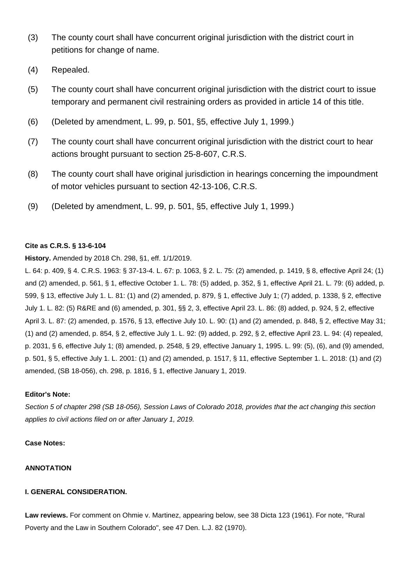- (3) The county court shall have concurrent original jurisdiction with the district court in petitions for change of name.
- (4) Repealed.
- (5) The county court shall have concurrent original jurisdiction with the district court to issue temporary and permanent civil restraining orders as provided in article 14 of this title.
- (6) (Deleted by amendment, L. 99, p. 501, §5, effective July 1, 1999.)
- (7) The county court shall have concurrent original jurisdiction with the district court to hear actions brought pursuant to section 25-8-607, C.R.S.
- (8) The county court shall have original jurisdiction in hearings concerning the impoundment of motor vehicles pursuant to section 42-13-106, C.R.S.
- (9) (Deleted by amendment, L. 99, p. 501, §5, effective July 1, 1999.)

### **Cite as C.R.S. § 13-6-104**

### **History.** Amended by 2018 Ch. 298, §1, eff. 1/1/2019.

L. 64: p. 409, § 4. C.R.S. 1963: § 37-13-4. L. 67: p. 1063, § 2. L. 75: (2) amended, p. 1419, § 8, effective April 24; (1) and (2) amended, p. 561, § 1, effective October 1. L. 78: (5) added, p. 352, § 1, effective April 21. L. 79: (6) added, p. 599, § 13, effective July 1. L. 81: (1) and (2) amended, p. 879, § 1, effective July 1; (7) added, p. 1338, § 2, effective July 1. L. 82: (5) R&RE and (6) amended, p. 301, §§ 2, 3, effective April 23. L. 86: (8) added, p. 924, § 2, effective April 3. L. 87: (2) amended, p. 1576, § 13, effective July 10. L. 90: (1) and (2) amended, p. 848, § 2, effective May 31; (1) and (2) amended, p. 854, § 2, effective July 1. L. 92: (9) added, p. 292, § 2, effective April 23. L. 94: (4) repealed, p. 2031, § 6, effective July 1; (8) amended, p. 2548, § 29, effective January 1, 1995. L. 99: (5), (6), and (9) amended, p. 501, § 5, effective July 1. L. 2001: (1) and (2) amended, p. 1517, § 11, effective September 1. L. 2018: (1) and (2) amended, (SB 18-056), ch. 298, p. 1816, § 1, effective January 1, 2019.

#### **Editor's Note:**

Section 5 of chapter 298 (SB 18-056), Session Laws of Colorado 2018, provides that the act changing this section applies to civil actions filed on or after January 1, 2019.

#### **Case Notes:**

#### **ANNOTATION**

### **I. GENERAL CONSIDERATION.**

**Law reviews.** For comment on Ohmie v. Martinez, appearing below, see 38 Dicta 123 (1961). For note, "Rural Poverty and the Law in Southern Colorado", see 47 Den. L.J. 82 (1970).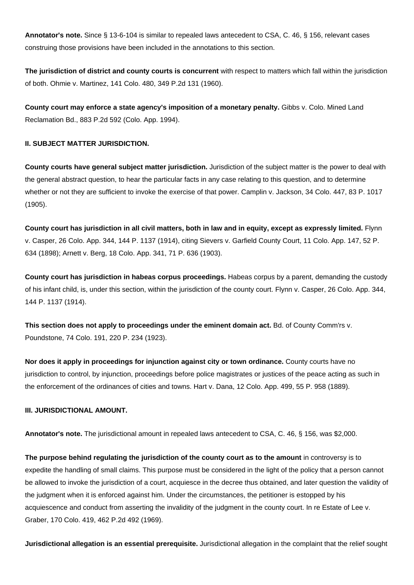**Annotator's note.** Since § 13-6-104 is similar to repealed laws antecedent to CSA, C. 46, § 156, relevant cases construing those provisions have been included in the annotations to this section.

**The jurisdiction of district and county courts is concurrent** with respect to matters which fall within the jurisdiction of both. Ohmie v. Martinez, 141 Colo. 480, 349 P.2d 131 (1960).

**County court may enforce a state agency's imposition of a monetary penalty.** Gibbs v. Colo. Mined Land Reclamation Bd., 883 P.2d 592 (Colo. App. 1994).

#### **II. SUBJECT MATTER JURISDICTION.**

**County courts have general subject matter jurisdiction.** Jurisdiction of the subject matter is the power to deal with the general abstract question, to hear the particular facts in any case relating to this question, and to determine whether or not they are sufficient to invoke the exercise of that power. Camplin v. Jackson, 34 Colo. 447, 83 P. 1017 (1905).

**County court has jurisdiction in all civil matters, both in law and in equity, except as expressly limited.** Flynn v. Casper, 26 Colo. App. 344, 144 P. 1137 (1914), citing Sievers v. Garfield County Court, 11 Colo. App. 147, 52 P. 634 (1898); Arnett v. Berg, 18 Colo. App. 341, 71 P. 636 (1903).

**County court has jurisdiction in habeas corpus proceedings.** Habeas corpus by a parent, demanding the custody of his infant child, is, under this section, within the jurisdiction of the county court. Flynn v. Casper, 26 Colo. App. 344, 144 P. 1137 (1914).

**This section does not apply to proceedings under the eminent domain act.** Bd. of County Comm'rs v. Poundstone, 74 Colo. 191, 220 P. 234 (1923).

**Nor does it apply in proceedings for injunction against city or town ordinance.** County courts have no jurisdiction to control, by injunction, proceedings before police magistrates or justices of the peace acting as such in the enforcement of the ordinances of cities and towns. Hart v. Dana, 12 Colo. App. 499, 55 P. 958 (1889).

#### **III. JURISDICTIONAL AMOUNT.**

**Annotator's note.** The jurisdictional amount in repealed laws antecedent to CSA, C. 46, § 156, was \$2,000.

**The purpose behind regulating the jurisdiction of the county court as to the amount** in controversy is to expedite the handling of small claims. This purpose must be considered in the light of the policy that a person cannot be allowed to invoke the jurisdiction of a court, acquiesce in the decree thus obtained, and later question the validity of the judgment when it is enforced against him. Under the circumstances, the petitioner is estopped by his acquiescence and conduct from asserting the invalidity of the judgment in the county court. In re Estate of Lee v. Graber, 170 Colo. 419, 462 P.2d 492 (1969).

**Jurisdictional allegation is an essential prerequisite.** Jurisdictional allegation in the complaint that the relief sought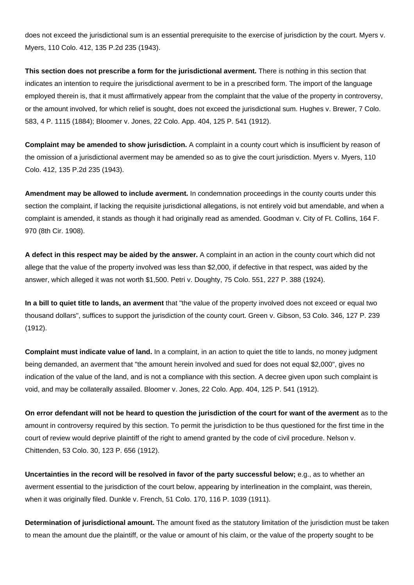does not exceed the jurisdictional sum is an essential prerequisite to the exercise of jurisdiction by the court. Myers v. Myers, 110 Colo. 412, 135 P.2d 235 (1943).

**This section does not prescribe a form for the jurisdictional averment.** There is nothing in this section that indicates an intention to require the jurisdictional averment to be in a prescribed form. The import of the language employed therein is, that it must affirmatively appear from the complaint that the value of the property in controversy, or the amount involved, for which relief is sought, does not exceed the jurisdictional sum. Hughes v. Brewer, 7 Colo. 583, 4 P. 1115 (1884); Bloomer v. Jones, 22 Colo. App. 404, 125 P. 541 (1912).

**Complaint may be amended to show jurisdiction.** A complaint in a county court which is insufficient by reason of the omission of a jurisdictional averment may be amended so as to give the court jurisdiction. Myers v. Myers, 110 Colo. 412, 135 P.2d 235 (1943).

**Amendment may be allowed to include averment.** In condemnation proceedings in the county courts under this section the complaint, if lacking the requisite jurisdictional allegations, is not entirely void but amendable, and when a complaint is amended, it stands as though it had originally read as amended. Goodman v. City of Ft. Collins, 164 F. 970 (8th Cir. 1908).

**A defect in this respect may be aided by the answer.** A complaint in an action in the county court which did not allege that the value of the property involved was less than \$2,000, if defective in that respect, was aided by the answer, which alleged it was not worth \$1,500. Petri v. Doughty, 75 Colo. 551, 227 P. 388 (1924).

**In a bill to quiet title to lands, an averment** that "the value of the property involved does not exceed or equal two thousand dollars", suffices to support the jurisdiction of the county court. Green v. Gibson, 53 Colo. 346, 127 P. 239 (1912).

**Complaint must indicate value of land.** In a complaint, in an action to quiet the title to lands, no money judgment being demanded, an averment that "the amount herein involved and sued for does not equal \$2,000", gives no indication of the value of the land, and is not a compliance with this section. A decree given upon such complaint is void, and may be collaterally assailed. Bloomer v. Jones, 22 Colo. App. 404, 125 P. 541 (1912).

**On error defendant will not be heard to question the jurisdiction of the court for want of the averment** as to the amount in controversy required by this section. To permit the jurisdiction to be thus questioned for the first time in the court of review would deprive plaintiff of the right to amend granted by the code of civil procedure. Nelson v. Chittenden, 53 Colo. 30, 123 P. 656 (1912).

**Uncertainties in the record will be resolved in favor of the party successful below;** e.g., as to whether an averment essential to the jurisdiction of the court below, appearing by interlineation in the complaint, was therein, when it was originally filed. Dunkle v. French, 51 Colo. 170, 116 P. 1039 (1911).

**Determination of jurisdictional amount.** The amount fixed as the statutory limitation of the jurisdiction must be taken to mean the amount due the plaintiff, or the value or amount of his claim, or the value of the property sought to be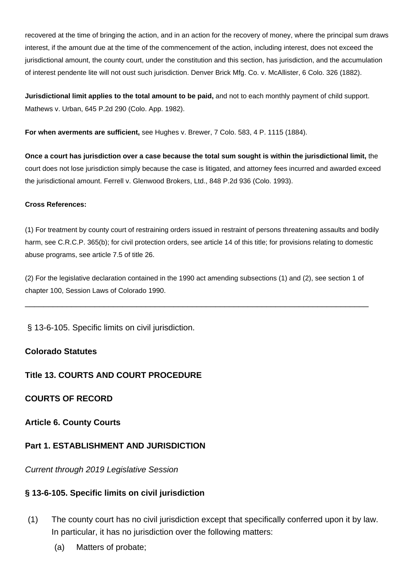recovered at the time of bringing the action, and in an action for the recovery of money, where the principal sum draws interest, if the amount due at the time of the commencement of the action, including interest, does not exceed the jurisdictional amount, the county court, under the constitution and this section, has jurisdiction, and the accumulation of interest pendente lite will not oust such jurisdiction. Denver Brick Mfg. Co. v. McAllister, 6 Colo. 326 (1882).

**Jurisdictional limit applies to the total amount to be paid,** and not to each monthly payment of child support. Mathews v. Urban, 645 P.2d 290 (Colo. App. 1982).

**For when averments are sufficient,** see Hughes v. Brewer, 7 Colo. 583, 4 P. 1115 (1884).

**Once a court has jurisdiction over a case because the total sum sought is within the jurisdictional limit,** the court does not lose jurisdiction simply because the case is litigated, and attorney fees incurred and awarded exceed the jurisdictional amount. Ferrell v. Glenwood Brokers, Ltd., 848 P.2d 936 (Colo. 1993).

### **Cross References:**

(1) For treatment by county court of restraining orders issued in restraint of persons threatening assaults and bodily harm, see C.R.C.P. 365(b); for civil protection orders, see article 14 of this title; for provisions relating to domestic abuse programs, see article 7.5 of title 26.

(2) For the legislative declaration contained in the 1990 act amending subsections (1) and (2), see section 1 of chapter 100, Session Laws of Colorado 1990.

\_\_\_\_\_\_\_\_\_\_\_\_\_\_\_\_\_\_\_\_\_\_\_\_\_\_\_\_\_\_\_\_\_\_\_\_\_\_\_\_\_\_\_\_\_\_\_\_\_\_\_\_\_\_\_\_\_\_\_\_\_\_\_\_\_\_\_\_\_\_\_\_\_\_

§ 13-6-105. Specific limits on civil jurisdiction.

## **Colorado Statutes**

## **Title 13. COURTS AND COURT PROCEDURE**

## **COURTS OF RECORD**

## **Article 6. County Courts**

## **Part 1. ESTABLISHMENT AND JURISDICTION**

Current through 2019 Legislative Session

## **§ 13-6-105. Specific limits on civil jurisdiction**

- (1) The county court has no civil jurisdiction except that specifically conferred upon it by law. In particular, it has no jurisdiction over the following matters:
	- (a) Matters of probate;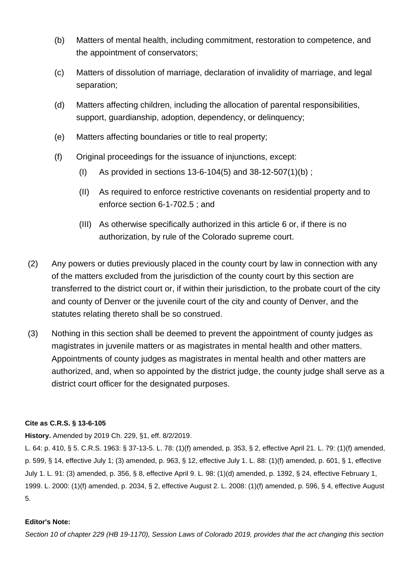- (b) Matters of mental health, including commitment, restoration to competence, and the appointment of conservators;
- (c) Matters of dissolution of marriage, declaration of invalidity of marriage, and legal separation;
- (d) Matters affecting children, including the allocation of parental responsibilities, support, guardianship, adoption, dependency, or delinquency;
- (e) Matters affecting boundaries or title to real property;
- (f) Original proceedings for the issuance of injunctions, except:
	- (I) As provided in sections 13-6-104(5) and 38-12-507(1)(b) ;
	- (II) As required to enforce restrictive covenants on residential property and to enforce section 6-1-702.5 ; and
	- (III) As otherwise specifically authorized in this article 6 or, if there is no authorization, by rule of the Colorado supreme court.
- (2) Any powers or duties previously placed in the county court by law in connection with any of the matters excluded from the jurisdiction of the county court by this section are transferred to the district court or, if within their jurisdiction, to the probate court of the city and county of Denver or the juvenile court of the city and county of Denver, and the statutes relating thereto shall be so construed.
- (3) Nothing in this section shall be deemed to prevent the appointment of county judges as magistrates in juvenile matters or as magistrates in mental health and other matters. Appointments of county judges as magistrates in mental health and other matters are authorized, and, when so appointed by the district judge, the county judge shall serve as a district court officer for the designated purposes.

### **Cite as C.R.S. § 13-6-105**

**History.** Amended by 2019 Ch. 229, §1, eff. 8/2/2019.

L. 64: p. 410, § 5. C.R.S. 1963: § 37-13-5. L. 78: (1)(f) amended, p. 353, § 2, effective April 21. L. 79: (1)(f) amended, p. 599, § 14, effective July 1; (3) amended, p. 963, § 12, effective July 1. L. 88: (1)(f) amended, p. 601, § 1, effective July 1. L. 91: (3) amended, p. 356, § 8, effective April 9. L. 98: (1)(d) amended, p. 1392, § 24, effective February 1, 1999. L. 2000: (1)(f) amended, p. 2034, § 2, effective August 2. L. 2008: (1)(f) amended, p. 596, § 4, effective August 5.

#### **Editor's Note:**

Section 10 of chapter 229 (HB 19-1170), Session Laws of Colorado 2019, provides that the act changing this section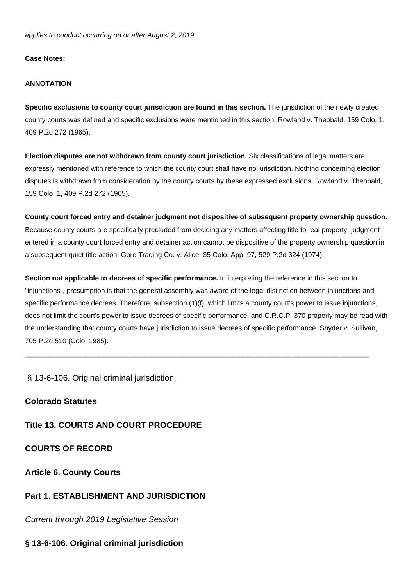applies to conduct occurring on or after August 2, 2019.

#### **Case Notes:**

#### **ANNOTATION**

**Specific exclusions to county court jurisdiction are found in this section.** The jurisdiction of the newly created county courts was defined and specific exclusions were mentioned in this section. Rowland v. Theobald, 159 Colo. 1, 409 P.2d 272 (1965).

**Election disputes are not withdrawn from county court jurisdiction.** Six classifications of legal matters are expressly mentioned with reference to which the county court shall have no jurisdiction. Nothing concerning election disputes is withdrawn from consideration by the county courts by these expressed exclusions. Rowland v. Theobald, 159 Colo. 1, 409 P.2d 272 (1965).

**County court forced entry and detainer judgment not dispositive of subsequent property ownership question.** Because county courts are specifically precluded from deciding any matters affecting title to real property, judgment entered in a county court forced entry and detainer action cannot be dispositive of the property ownership question in a subsequent quiet title action. Gore Trading Co. v. Alice, 35 Colo. App. 97, 529 P.2d 324 (1974).

**Section not applicable to decrees of specific performance.** In interpreting the reference in this section to "injunctions", presumption is that the general assembly was aware of the legal distinction between injunctions and specific performance decrees. Therefore, subsection (1)(f), which limits a county court's power to issue injunctions, does not limit the court's power to issue decrees of specific performance, and C.R.C.P. 370 properly may be read with the understanding that county courts have jurisdiction to issue decrees of specific performance. Snyder v. Sullivan, 705 P.2d 510 (Colo. 1985).

\_\_\_\_\_\_\_\_\_\_\_\_\_\_\_\_\_\_\_\_\_\_\_\_\_\_\_\_\_\_\_\_\_\_\_\_\_\_\_\_\_\_\_\_\_\_\_\_\_\_\_\_\_\_\_\_\_\_\_\_\_\_\_\_\_\_\_\_\_\_\_\_\_\_

§ 13-6-106. Original criminal jurisdiction.

**Colorado Statutes**

**Title 13. COURTS AND COURT PROCEDURE**

**COURTS OF RECORD**

**Article 6. County Courts**

### **Part 1. ESTABLISHMENT AND JURISDICTION**

Current through 2019 Legislative Session

### **§ 13-6-106. Original criminal jurisdiction**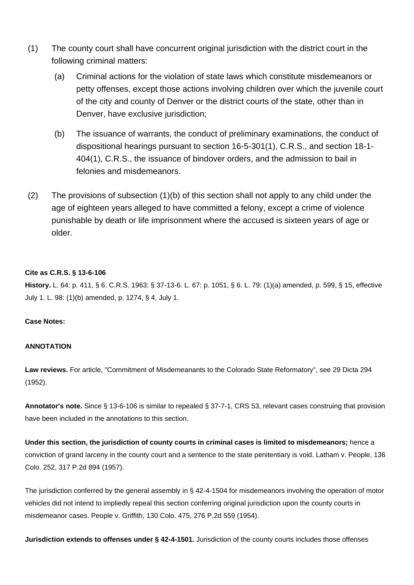- (1) The county court shall have concurrent original jurisdiction with the district court in the following criminal matters:
	- (a) Criminal actions for the violation of state laws which constitute misdemeanors or petty offenses, except those actions involving children over which the juvenile court of the city and county of Denver or the district courts of the state, other than in Denver, have exclusive jurisdiction;
	- (b) The issuance of warrants, the conduct of preliminary examinations, the conduct of dispositional hearings pursuant to section 16-5-301(1), C.R.S., and section 18-1- 404(1), C.R.S., the issuance of bindover orders, and the admission to bail in felonies and misdemeanors.
- (2) The provisions of subsection (1)(b) of this section shall not apply to any child under the age of eighteen years alleged to have committed a felony, except a crime of violence punishable by death or life imprisonment where the accused is sixteen years of age or older.

### **Cite as C.R.S. § 13-6-106**

**History.** L. 64: p. 411, § 6. C.R.S. 1963: § 37-13-6. L. 67: p. 1051, § 6. L. 79: (1)(a) amended, p. 599, § 15, effective July 1. L. 98: (1)(b) amended, p. 1274, § 4, July 1.

#### **Case Notes:**

#### **ANNOTATION**

**Law reviews.** For article, "Commitment of Misdemeanants to the Colorado State Reformatory", see 29 Dicta 294 (1952).

**Annotator's note.** Since § 13-6-106 is similar to repealed § 37-7-1, CRS 53, relevant cases construing that provision have been included in the annotations to this section.

**Under this section, the jurisdiction of county courts in criminal cases is limited to misdemeanors;** hence a conviction of grand larceny in the county court and a sentence to the state penitentiary is void. Latham v. People, 136 Colo. 252, 317 P.2d 894 (1957).

The jurisdiction conferred by the general assembly in § 42-4-1504 for misdemeanors involving the operation of motor vehicles did not intend to impliedly repeal this section conferring original jurisdiction upon the county courts in misdemeanor cases. People v. Griffith, 130 Colo. 475, 276 P.2d 559 (1954).

**Jurisdiction extends to offenses under § 42-4-1501.** Jurisdiction of the county courts includes those offenses